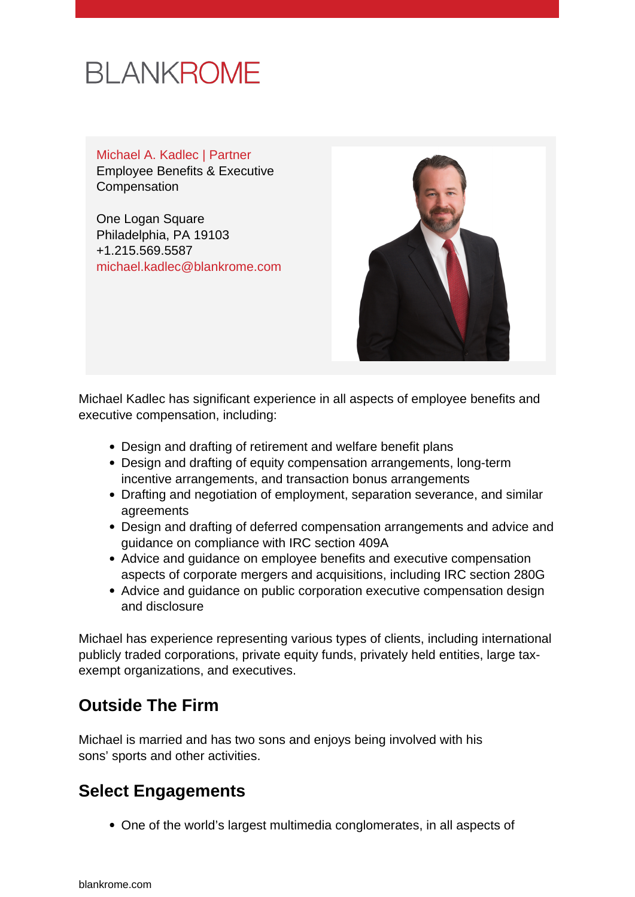# **BLANKROME**

#### Michael A. Kadlec | Partner Employee Benefits & Executive Compensation

One Logan Square Philadelphia, PA 19103 +1.215.569.5587 [michael.kadlec@blankrome.com](mailto:michael.kadlec@blankrome.com)



Michael Kadlec has significant experience in all aspects of employee benefits and executive compensation, including:

- Design and drafting of retirement and welfare benefit plans
- Design and drafting of equity compensation arrangements, long-term incentive arrangements, and transaction bonus arrangements
- Drafting and negotiation of employment, separation severance, and similar agreements
- Design and drafting of deferred compensation arrangements and advice and guidance on compliance with IRC section 409A
- Advice and guidance on employee benefits and executive compensation aspects of corporate mergers and acquisitions, including IRC section 280G
- Advice and guidance on public corporation executive compensation design and disclosure

Michael has experience representing various types of clients, including international publicly traded corporations, private equity funds, privately held entities, large taxexempt organizations, and executives.

# **Outside The Firm**

Michael is married and has two sons and enjoys being involved with his sons' sports and other activities.

# **Select Engagements**

One of the world's largest multimedia conglomerates, in all aspects of